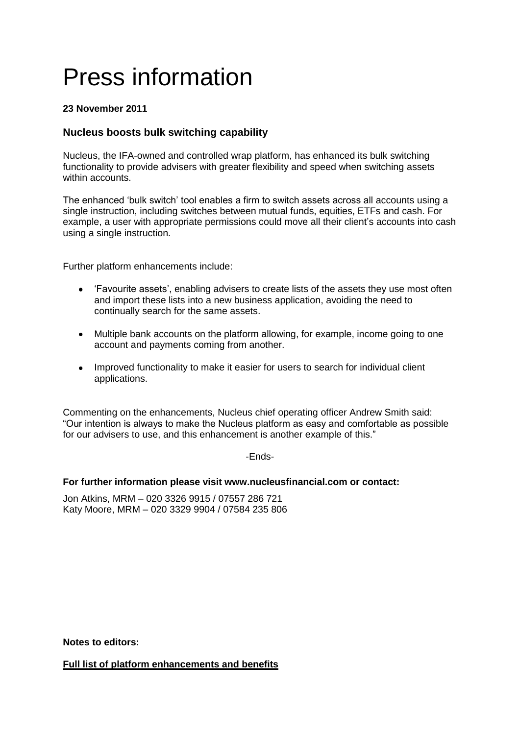# Press information

## **23 November 2011**

# **Nucleus boosts bulk switching capability**

Nucleus, the IFA-owned and controlled wrap platform, has enhanced its bulk switching functionality to provide advisers with greater flexibility and speed when switching assets within accounts.

The enhanced 'bulk switch' tool enables a firm to switch assets across all accounts using a single instruction, including switches between mutual funds, equities, ETFs and cash. For example, a user with appropriate permissions could move all their client's accounts into cash using a single instruction.

Further platform enhancements include:

- 'Favourite assets', enabling advisers to create lists of the assets they use most often and import these lists into a new business application, avoiding the need to continually search for the same assets.
- Multiple bank accounts on the platform allowing, for example, income going to one account and payments coming from another.
- Improved functionality to make it easier for users to search for individual client applications.

Commenting on the enhancements, Nucleus chief operating officer Andrew Smith said: "Our intention is always to make the Nucleus platform as easy and comfortable as possible for our advisers to use, and this enhancement is another example of this."

-Ends-

#### **For further information please visit www.nucleusfinancial.com or contact:**

Jon Atkins, MRM – 020 3326 9915 / 07557 286 721 Katy Moore, MRM – 020 3329 9904 / 07584 235 806

**Notes to editors:**

**Full list of platform enhancements and benefits**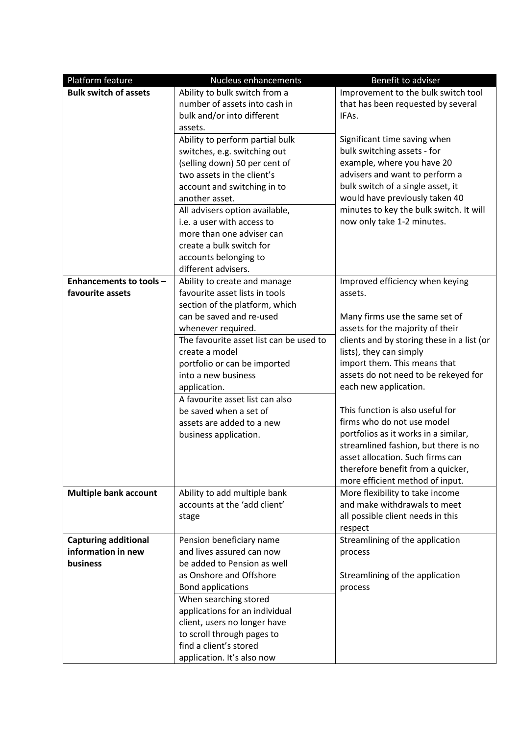| Platform feature               | Nucleus enhancements                    | Benefit to adviser                         |
|--------------------------------|-----------------------------------------|--------------------------------------------|
| <b>Bulk switch of assets</b>   | Ability to bulk switch from a           | Improvement to the bulk switch tool        |
|                                | number of assets into cash in           | that has been requested by several         |
|                                | bulk and/or into different              | IFAs.                                      |
|                                | assets.                                 |                                            |
|                                | Ability to perform partial bulk         | Significant time saving when               |
|                                | switches, e.g. switching out            | bulk switching assets - for                |
|                                | (selling down) 50 per cent of           | example, where you have 20                 |
|                                | two assets in the client's              | advisers and want to perform a             |
|                                | account and switching in to             | bulk switch of a single asset, it          |
|                                | another asset.                          | would have previously taken 40             |
|                                | All advisers option available,          | minutes to key the bulk switch. It will    |
|                                | i.e. a user with access to              | now only take 1-2 minutes.                 |
|                                | more than one adviser can               |                                            |
|                                | create a bulk switch for                |                                            |
|                                | accounts belonging to                   |                                            |
|                                | different advisers.                     |                                            |
| <b>Enhancements to tools -</b> | Ability to create and manage            | Improved efficiency when keying            |
| favourite assets               | favourite asset lists in tools          | assets.                                    |
|                                | section of the platform, which          |                                            |
|                                | can be saved and re-used                | Many firms use the same set of             |
|                                | whenever required.                      | assets for the majority of their           |
|                                | The favourite asset list can be used to | clients and by storing these in a list (or |
|                                | create a model                          | lists), they can simply                    |
|                                | portfolio or can be imported            | import them. This means that               |
|                                | into a new business                     | assets do not need to be rekeyed for       |
|                                | application.                            | each new application.                      |
|                                | A favourite asset list can also         |                                            |
|                                | be saved when a set of                  | This function is also useful for           |
|                                | assets are added to a new               | firms who do not use model                 |
|                                | business application.                   | portfolios as it works in a similar,       |
|                                |                                         | streamlined fashion, but there is no       |
|                                |                                         | asset allocation. Such firms can           |
|                                |                                         | therefore benefit from a quicker,          |
|                                |                                         | more efficient method of input.            |
| <b>Multiple bank account</b>   | Ability to add multiple bank            | More flexibility to take income            |
|                                | accounts at the 'add client'            | and make withdrawals to meet               |
|                                | stage                                   | all possible client needs in this          |
|                                |                                         | respect                                    |
| <b>Capturing additional</b>    | Pension beneficiary name                | Streamlining of the application            |
| information in new             | and lives assured can now               | process                                    |
| business                       | be added to Pension as well             |                                            |
|                                | as Onshore and Offshore                 | Streamlining of the application            |
|                                | <b>Bond applications</b>                | process                                    |
|                                | When searching stored                   |                                            |
|                                | applications for an individual          |                                            |
|                                | client, users no longer have            |                                            |
|                                | to scroll through pages to              |                                            |
|                                | find a client's stored                  |                                            |
|                                | application. It's also now              |                                            |